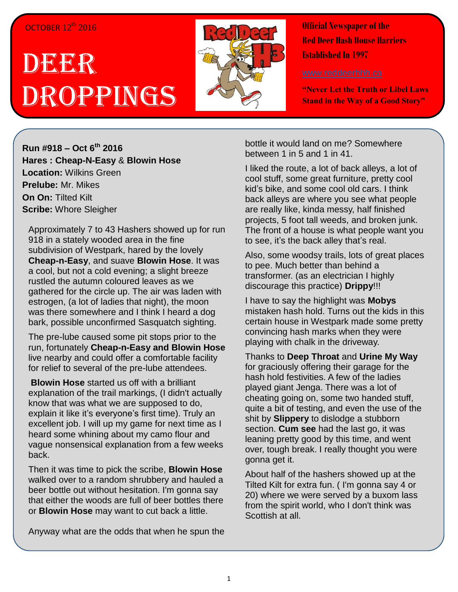## OCTOBER 12<sup>th</sup> 2016

## DEEER Droppings



**Official Newspaper of the Red Deer Hash House Harriers Established In 1997** 

**"Never Let the Truth or Libel Laws Stand in the Way of a Good Story"**

**Run #918 – Oct 6 th 2016 Hares : Cheap-N-Easy** & **Blowin Hose Location:** Wilkins Green **Prelube:** Mr. Mikes **On On:** Tilted Kilt **Scribe:** Whore Sleigher

Approximately 7 to 43 Hashers showed up for run 918 in a stately wooded area in the fine subdivision of Westpark, hared by the lovely **Cheap-n-Easy**, and suave **Blowin Hose**. It was a cool, but not a cold evening; a slight breeze rustled the autumn coloured leaves as we gathered for the circle up. The air was laden with estrogen, (a lot of ladies that night), the moon was there somewhere and I think I heard a dog bark, possible unconfirmed Sasquatch sighting.

The pre-lube caused some pit stops prior to the run, fortunately **Cheap-n-Easy and Blowin Hose** live nearby and could offer a comfortable facility for relief to several of the pre-lube attendees.

**Blowin Hose** started us off with a brilliant explanation of the trail markings, (I didn't actually know that was what we are supposed to do, explain it like it's everyone's first time). Truly an excellent job. I will up my game for next time as I heard some whining about my camo flour and vague nonsensical explanation from a few weeks back.

Then it was time to pick the scribe, **Blowin Hose** walked over to a random shrubbery and hauled a beer bottle out without hesitation. I'm gonna say that either the woods are full of beer bottles there or **Blowin Hose** may want to cut back a little.

Anyway what are the odds that when he spun the

bottle it would land on me? Somewhere between 1 in 5 and 1 in 41.

I liked the route, a lot of back alleys, a lot of cool stuff, some great furniture, pretty cool kid's bike, and some cool old cars. I think back alleys are where you see what people are really like, kinda messy, half finished projects, 5 foot tall weeds, and broken junk. The front of a house is what people want you to see, it's the back alley that's real.

Also, some woodsy trails, lots of great places to pee. Much better than behind a transformer. (as an electrician I highly discourage this practice) **Drippy**!!!

I have to say the highlight was **Mobys** mistaken hash hold. Turns out the kids in this certain house in Westpark made some pretty convincing hash marks when they were playing with chalk in the driveway.

Thanks to **Deep Throat** and **Urine My Way** for graciously offering their garage for the hash hold festivities. A few of the ladies played giant Jenga. There was a lot of cheating going on, some two handed stuff, quite a bit of testing, and even the use of the shit by **Slippery** to dislodge a stubborn section. **Cum see** had the last go, it was leaning pretty good by this time, and went over, tough break. I really thought you were gonna get it.

About half of the hashers showed up at the Tilted Kilt for extra fun. ( I'm gonna say 4 or 20) where we were served by a buxom lass from the spirit world, who I don't think was Scottish at all.